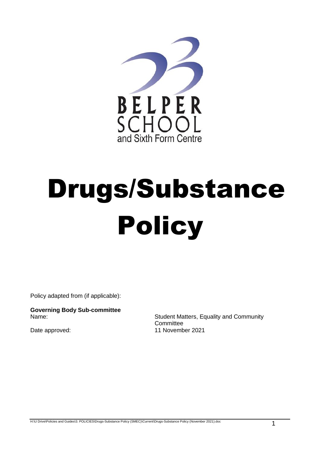

# Drugs/Substance Policy

Policy adapted from (if applicable):

**Governing Body Sub-committee**

Student Matters, Equality and Community **Committee** Date approved: 11 November 2021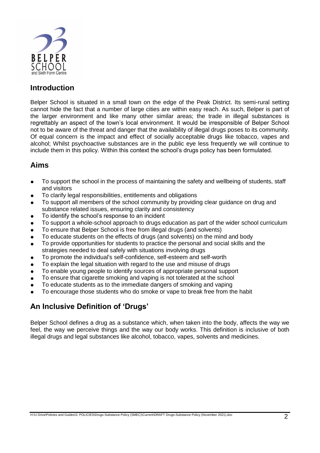

### **Introduction**

Belper School is situated in a small town on the edge of the Peak District. Its semi-rural setting cannot hide the fact that a number of large cities are within easy reach. As such, Belper is part of the larger environment and like many other similar areas; the trade in illegal substances is regrettably an aspect of the town's local environment. It would be irresponsible of Belper School not to be aware of the threat and danger that the availability of illegal drugs poses to its community. Of equal concern is the impact and effect of socially acceptable drugs like tobacco, vapes and alcohol; Whilst psychoactive substances are in the public eye less frequently we will continue to include them in this policy. Within this context the school's drugs policy has been formulated.

#### **Aims**

- To support the school in the process of maintaining the safety and wellbeing of students, staff and visitors
- To clarify legal responsibilities, entitlements and obligations
- To support all members of the school community by providing clear guidance on drug and substance related issues, ensuring clarity and consistency
- To identify the school's response to an incident
- To support a whole-school approach to drugs education as part of the wider school curriculum
- To ensure that Belper School is free from illegal drugs (and solvents)
- To educate students on the effects of drugs (and solvents) on the mind and body
- To provide opportunities for students to practice the personal and social skills and the strategies needed to deal safely with situations involving drugs
- To promote the individual's self-confidence, self-esteem and self-worth
- To explain the legal situation with regard to the use and misuse of drugs
- To enable young people to identify sources of appropriate personal support
- To ensure that cigarette smoking and vaping is not tolerated at the school
- To educate students as to the immediate dangers of smoking and vaping
- To encourage those students who do smoke or vape to break free from the habit

#### **An Inclusive Definition of 'Drugs'**

Belper School defines a drug as a substance which, when taken into the body, affects the way we feel, the way we perceive things and the way our body works. This definition is inclusive of both illegal drugs and legal substances like alcohol, tobacco, vapes, solvents and medicines.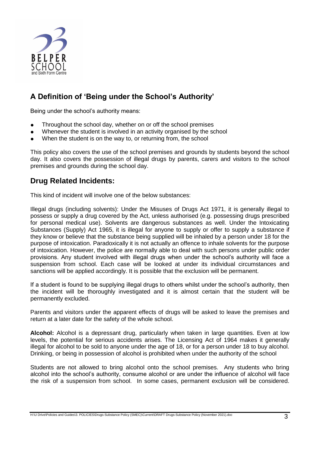

## **A Definition of 'Being under the School's Authority'**

Being under the school's authority means:

- Throughout the school day, whether on or off the school premises
- Whenever the student is involved in an activity organised by the school
- When the student is on the way to, or returning from, the school

This policy also covers the use of the school premises and grounds by students beyond the school day. It also covers the possession of illegal drugs by parents, carers and visitors to the school premises and grounds during the school day.

#### **Drug Related Incidents:**

This kind of incident will involve one of the below substances:

Illegal drugs (including solvents): Under the Misuses of Drugs Act 1971, it is generally illegal to possess or supply a drug covered by the Act, unless authorised (e.g. possessing drugs prescribed for personal medical use). Solvents are dangerous substances as well. Under the Intoxicating Substances (Supply) Act 1965, it is illegal for anyone to supply or offer to supply a substance if they know or believe that the substance being supplied will be inhaled by a person under 18 for the purpose of intoxication. Paradoxically it is not actually an offence to inhale solvents for the purpose of intoxication. However, the police are normally able to deal with such persons under public order provisions. Any student involved with illegal drugs when under the school's authority will face a suspension from school. Each case will be looked at under its individual circumstances and sanctions will be applied accordingly. It is possible that the exclusion will be permanent.

If a student is found to be supplying illegal drugs to others whilst under the school's authority, then the incident will be thoroughly investigated and it is almost certain that the student will be permanently excluded.

Parents and visitors under the apparent effects of drugs will be asked to leave the premises and return at a later date for the safety of the whole school.

**Alcohol:** Alcohol is a depressant drug, particularly when taken in large quantities. Even at low levels, the potential for serious accidents arises. The Licensing Act of 1964 makes it generally illegal for alcohol to be sold to anyone under the age of 18, or for a person under 18 to buy alcohol. Drinking, or being in possession of alcohol is prohibited when under the authority of the school

Students are not allowed to bring alcohol onto the school premises. Any students who bring alcohol into the school's authority, consume alcohol or are under the influence of alcohol will face the risk of a suspension from school. In some cases, permanent exclusion will be considered.

H:\U Drive\Policies and Guides\3. POLICIES\Drugs-Substance Policy (SMEC)\Current\DRAFT Drugs-Substance Policy (November 2021).doc 3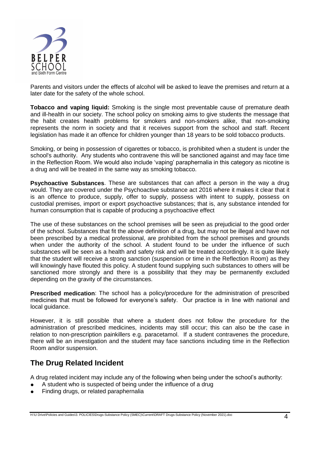

Parents and visitors under the effects of alcohol will be asked to leave the premises and return at a later date for the safety of the whole school.

**Tobacco and vaping liquid:** Smoking is the single most preventable cause of premature death and ill-health in our society. The school policy on smoking aims to give students the message that the habit creates health problems for smokers and non-smokers alike, that non-smoking represents the norm in society and that it receives support from the school and staff. Recent legislation has made it an offence for children younger than 18 years to be sold tobacco products.

Smoking, or being in possession of cigarettes or tobacco, is prohibited when a student is under the school's authority. Any students who contravene this will be sanctioned against and may face time in the Reflection Room. We would also include 'vaping' paraphernalia in this category as nicotine is a drug and will be treated in the same way as smoking tobacco.

**Psychoactive Substances**. These are substances that can affect a person in the way a drug would. They are covered under the Psychoactive substance act 2016 where it makes it clear that it is an offence to produce, supply, offer to supply, possess with intent to supply, possess on custodial premises, import or export psychoactive substances; that is, any substance intended for human consumption that is capable of producing a psychoactive effect

The use of these substances on the school premises will be seen as prejudicial to the good order of the school. Substances that fit the above definition of a drug, but may not be illegal and have not been prescribed by a medical professional, are prohibited from the school premises and grounds when under the authority of the school. A student found to be under the influence of such substances will be seen as a health and safety risk and will be treated accordingly. It is quite likely that the student will receive a strong sanction (suspension or time in the Reflection Room) as they will knowingly have flouted this policy. A student found supplying such substances to others will be sanctioned more strongly and there is a possibility that they may be permanently excluded depending on the gravity of the circumstances.

**Prescribed medication**: The school has a policy/procedure for the administration of prescribed medicines that must be followed for everyone's safety. Our practice is in line with national and local guidance.

However, it is still possible that where a student does not follow the procedure for the administration of prescribed medicines, incidents may still occur; this can also be the case in relation to non-prescription painkillers e.g. paracetamol. If a student contravenes the procedure, there will be an investigation and the student may face sanctions including time in the Reflection Room and/or suspension.

#### **The Drug Related Incident**

A drug related incident may include any of the following when being under the school's authority:

- A student who is suspected of being under the influence of a drug
- Finding drugs, or related paraphernalia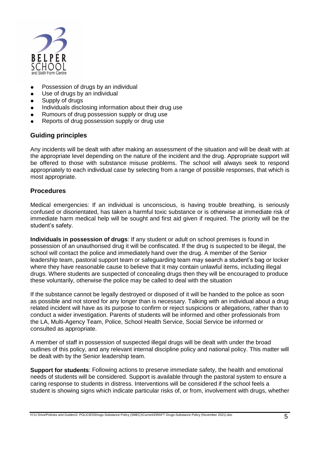

- Possession of drugs by an individual
- Use of drugs by an individual
- Supply of drugs
- Individuals disclosing information about their drug use
- Rumours of drug possession supply or drug use
- Reports of drug possession supply or drug use

#### **Guiding principles**

Any incidents will be dealt with after making an assessment of the situation and will be dealt with at the appropriate level depending on the nature of the incident and the drug. Appropriate support will be offered to those with substance misuse problems. The school will always seek to respond appropriately to each individual case by selecting from a range of possible responses, that which is most appropriate.

#### **Procedures**

Medical emergencies: If an individual is unconscious, is having trouble breathing, is seriously confused or disorientated, has taken a harmful toxic substance or is otherwise at immediate risk of immediate harm medical help will be sought and first aid given if required. The priority will be the student's safety.

**Individuals in possession of drugs**: If any student or adult on school premises is found in possession of an unauthorised drug it will be confiscated. If the drug is suspected to be illegal, the school will contact the police and immediately hand over the drug. A member of the Senior leadership team, pastoral support team or safeguarding team may search a student's bag or locker where they have reasonable cause to believe that it may contain unlawful items, including illegal drugs. Where students are suspected of concealing drugs then they will be encouraged to produce these voluntarily, otherwise the police may be called to deal with the situation

If the substance cannot be legally destroyed or disposed of it will be handed to the police as soon as possible and not stored for any longer than is necessary. Talking with an individual about a drug related incident will have as its purpose to confirm or reject suspicions or allegations, rather than to conduct a wider investigation. Parents of students will be informed and other professionals from the LA, Multi-Agency Team, Police, School Health Service, Social Service be informed or consulted as appropriate.

A member of staff in possession of suspected illegal drugs will be dealt with under the broad outlines of this policy, and any relevant internal discipline policy and national policy. This matter will be dealt with by the Senior leadership team.

**Support for students**: Following actions to preserve immediate safety, the health and emotional needs of students will be considered. Support is available through the pastoral system to ensure a caring response to students in distress. Interventions will be considered if the school feels a student is showing signs which indicate particular risks of, or from, involvement with drugs, whether

H:\U Drive\Policies and Guides\3. POLICIES\Drugs-Substance Policy (SMEC)\Current\DRAFT Drugs-Substance Policy (November 2021).doc 5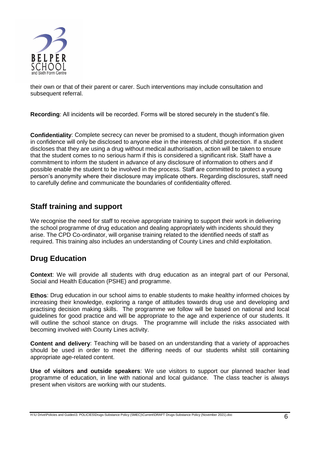

their own or that of their parent or carer. Such interventions may include consultation and subsequent referral.

**Recording**: All incidents will be recorded. Forms will be stored securely in the student's file.

**Confidentiality**: Complete secrecy can never be promised to a student, though information given in confidence will only be disclosed to anyone else in the interests of child protection. If a student discloses that they are using a drug without medical authorisation, action will be taken to ensure that the student comes to no serious harm if this is considered a significant risk. Staff have a commitment to inform the student in advance of any disclosure of information to others and if possible enable the student to be involved in the process. Staff are committed to protect a young person's anonymity where their disclosure may implicate others. Regarding disclosures, staff need to carefully define and communicate the boundaries of confidentiality offered.

#### **Staff training and support**

We recognise the need for staff to receive appropriate training to support their work in delivering the school programme of drug education and dealing appropriately with incidents should they arise. The CPD Co-ordinator, will organise training related to the identified needs of staff as required. This training also includes an understanding of County Lines and child exploitation.

#### **Drug Education**

**Context**: We will provide all students with drug education as an integral part of our Personal, Social and Health Education (PSHE) and programme.

**Ethos**: Drug education in our school aims to enable students to make healthy informed choices by increasing their knowledge, exploring a range of attitudes towards drug use and developing and practising decision making skills. The programme we follow will be based on national and local guidelines for good practice and will be appropriate to the age and experience of our students. It will outline the school stance on drugs. The programme will include the risks associated with becoming involved with County Lines activity.

**Content and delivery**: Teaching will be based on an understanding that a variety of approaches should be used in order to meet the differing needs of our students whilst still containing appropriate age-related content.

**Use of visitors and outside speakers**: We use visitors to support our planned teacher lead programme of education, in line with national and local guidance. The class teacher is always present when visitors are working with our students.

H:\U Drive\Policies and Guides\3. POLICIES\Drugs-Substance Policy (SMEC)\Current\DRAFT Drugs-Substance Policy (November 2021).doc 6